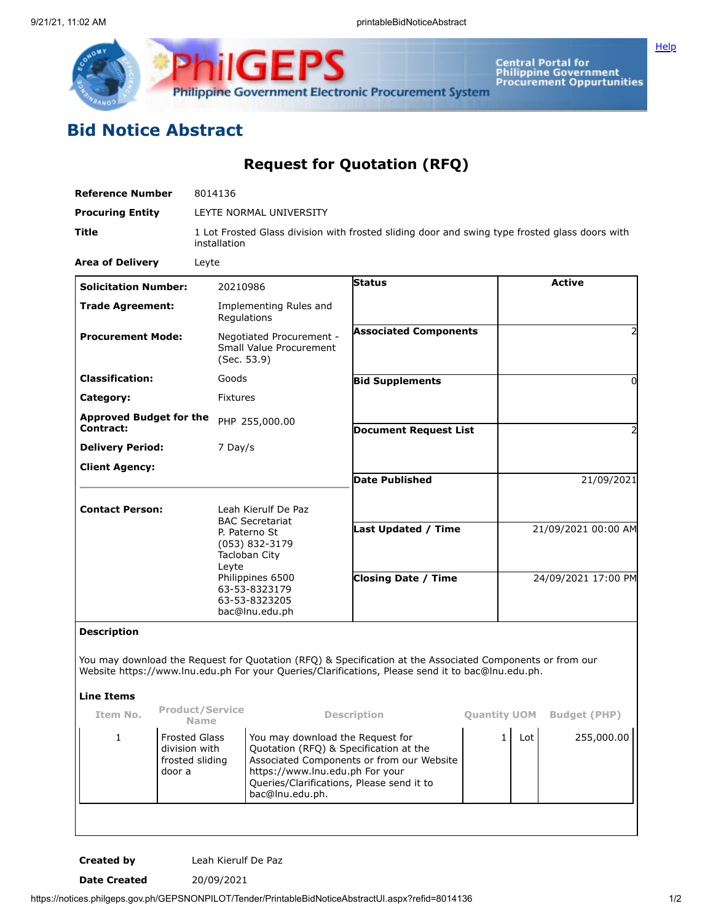

**Central Portal for<br>Philippine Government<br>Procurement Oppurtunities** 

**[Help](javascript:void(window.open()** 

## **Bid Notice Abstract**

**Request for Quotation (RFQ)**

| <b>Reference Number</b>                            |                                                                  | 8014136                                                                                                                                                                            |                                                                                                               |                                                                                                                                                                                                                |                     |                     |                     |  |
|----------------------------------------------------|------------------------------------------------------------------|------------------------------------------------------------------------------------------------------------------------------------------------------------------------------------|---------------------------------------------------------------------------------------------------------------|----------------------------------------------------------------------------------------------------------------------------------------------------------------------------------------------------------------|---------------------|---------------------|---------------------|--|
| <b>Procuring Entity</b>                            |                                                                  |                                                                                                                                                                                    | LEYTE NORMAL UNIVERSITY                                                                                       |                                                                                                                                                                                                                |                     |                     |                     |  |
| Title<br>installation                              |                                                                  |                                                                                                                                                                                    |                                                                                                               | 1 Lot Frosted Glass division with frosted sliding door and swing type frosted glass doors with                                                                                                                 |                     |                     |                     |  |
| <b>Area of Delivery</b>                            | Leyte                                                            |                                                                                                                                                                                    |                                                                                                               |                                                                                                                                                                                                                |                     |                     |                     |  |
| <b>Solicitation Number:</b>                        |                                                                  | 20210986                                                                                                                                                                           |                                                                                                               | <b>Status</b>                                                                                                                                                                                                  |                     |                     | <b>Active</b>       |  |
| <b>Trade Agreement:</b>                            |                                                                  | Regulations                                                                                                                                                                        | Implementing Rules and                                                                                        |                                                                                                                                                                                                                |                     |                     |                     |  |
| <b>Procurement Mode:</b>                           |                                                                  | (Sec. 53.9)                                                                                                                                                                        | Negotiated Procurement -<br>Small Value Procurement                                                           | <b>Associated Components</b>                                                                                                                                                                                   |                     |                     |                     |  |
| <b>Classification:</b>                             |                                                                  | Goods                                                                                                                                                                              |                                                                                                               | <b>Bid Supplements</b>                                                                                                                                                                                         |                     |                     | 0                   |  |
| Category:                                          |                                                                  | <b>Fixtures</b>                                                                                                                                                                    |                                                                                                               |                                                                                                                                                                                                                |                     |                     |                     |  |
| <b>Approved Budget for the</b><br><b>Contract:</b> |                                                                  |                                                                                                                                                                                    | PHP 255,000.00                                                                                                | <b>Document Request List</b>                                                                                                                                                                                   |                     |                     |                     |  |
| <b>Delivery Period:</b>                            |                                                                  | 7 Day/s                                                                                                                                                                            |                                                                                                               |                                                                                                                                                                                                                |                     |                     |                     |  |
| <b>Client Agency:</b>                              |                                                                  |                                                                                                                                                                                    |                                                                                                               | <b>Date Published</b>                                                                                                                                                                                          |                     |                     |                     |  |
|                                                    |                                                                  |                                                                                                                                                                                    |                                                                                                               |                                                                                                                                                                                                                |                     |                     | 21/09/2021          |  |
| <b>Contact Person:</b>                             |                                                                  | Leah Kierulf De Paz<br><b>BAC Secretariat</b><br>P. Paterno St<br>(053) 832-3179<br>Tacloban City<br>Leyte<br>Philippines 6500<br>63-53-8323179<br>63-53-8323205<br>bac@lnu.edu.ph |                                                                                                               | Last Updated / Time                                                                                                                                                                                            |                     | 21/09/2021 00:00 AM |                     |  |
|                                                    |                                                                  |                                                                                                                                                                                    |                                                                                                               | <b>Closing Date / Time</b>                                                                                                                                                                                     |                     | 24/09/2021 17:00 PM |                     |  |
| <b>Description</b>                                 |                                                                  |                                                                                                                                                                                    |                                                                                                               |                                                                                                                                                                                                                |                     |                     |                     |  |
| <b>Line Items</b>                                  |                                                                  |                                                                                                                                                                                    |                                                                                                               | You may download the Request for Quotation (RFQ) & Specification at the Associated Components or from our<br>Website https://www.lnu.edu.ph For your Queries/Clarifications, Please send it to bac@lnu.edu.ph. |                     |                     |                     |  |
| Item No.                                           | <b>Product/Service</b>                                           |                                                                                                                                                                                    |                                                                                                               | <b>Description</b>                                                                                                                                                                                             | <b>Quantity UOM</b> |                     | <b>Budget (PHP)</b> |  |
| $1\,$                                              | Name<br><b>Frosted Glass</b><br>division with<br>frosted sliding |                                                                                                                                                                                    | You may download the Request for<br>Quotation (RFQ) & Specification at the<br>https://www.lnu.edu.ph For your | Associated Components or from our Website                                                                                                                                                                      | $\mathbf{1}$        | Lot                 | 255,000.00          |  |

**Created by** Leah Kierulf De Paz

**Date Created** 20/09/2021

https://notices.philgeps.gov.ph/GEPSNONPILOT/Tender/PrintableBidNoticeAbstractUI.aspx?refid=8014136 1/2